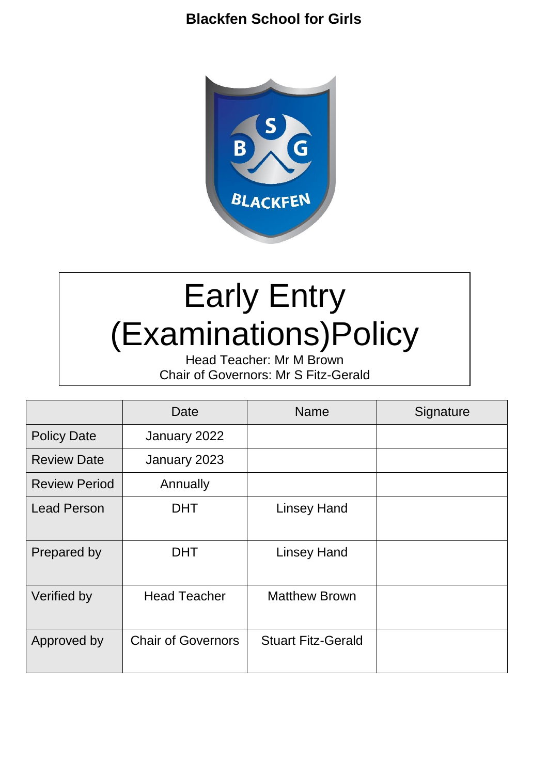## **Blackfen School for Girls**



# Early Entry (Examinations)Policy

Head Teacher: Mr M Brown Chair of Governors: Mr S Fitz-Gerald

|                      | Date                      | <b>Name</b>               | Signature |
|----------------------|---------------------------|---------------------------|-----------|
| <b>Policy Date</b>   | January 2022              |                           |           |
| <b>Review Date</b>   | January 2023              |                           |           |
| <b>Review Period</b> | Annually                  |                           |           |
| <b>Lead Person</b>   | <b>DHT</b>                | <b>Linsey Hand</b>        |           |
| Prepared by          | <b>DHT</b>                | <b>Linsey Hand</b>        |           |
| Verified by          | <b>Head Teacher</b>       | <b>Matthew Brown</b>      |           |
| Approved by          | <b>Chair of Governors</b> | <b>Stuart Fitz-Gerald</b> |           |